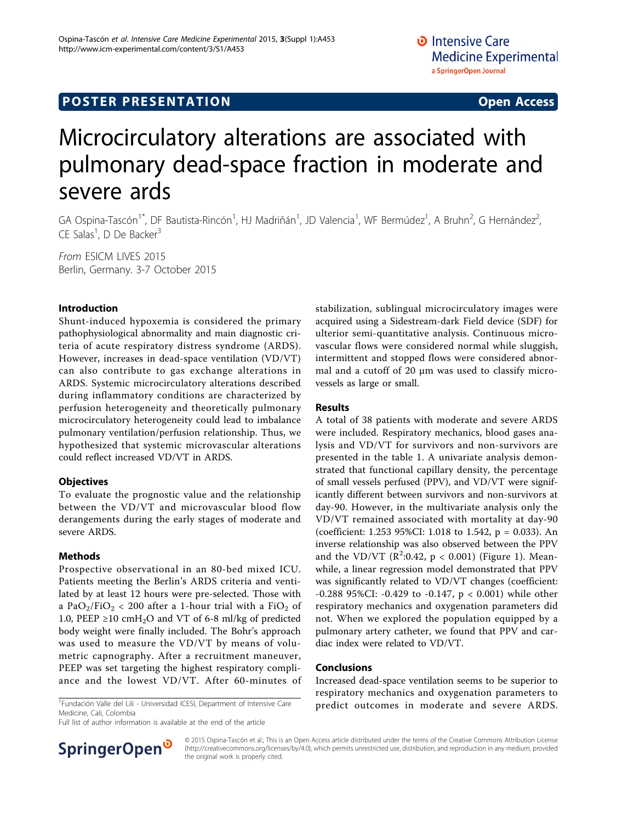## **POSTER PRESENTATION CONSUMING THE SERVICE SERVICE SERVICES**

# Microcirculatory alterations are associated with pulmonary dead-space fraction in moderate and severe ards

GA Ospina-Tascón<sup>1\*</sup>, DF Bautista-Rincón<sup>1</sup>, HJ Madriñán<sup>1</sup>, JD Valencia<sup>1</sup>, WF Bermúdez<sup>1</sup>, A Bruhn<sup>2</sup>, G Hernández<sup>2</sup> , CE Salas<sup>1</sup>, D De Backer<sup>3</sup>

From ESICM LIVES 2015 Berlin, Germany. 3-7 October 2015

#### Introduction

Shunt-induced hypoxemia is considered the primary pathophysiological abnormality and main diagnostic criteria of acute respiratory distress syndrome (ARDS). However, increases in dead-space ventilation (VD/VT) can also contribute to gas exchange alterations in ARDS. Systemic microcirculatory alterations described during inflammatory conditions are characterized by perfusion heterogeneity and theoretically pulmonary microcirculatory heterogeneity could lead to imbalance pulmonary ventilation/perfusion relationship. Thus, we hypothesized that systemic microvascular alterations could reflect increased VD/VT in ARDS.

#### **Objectives**

To evaluate the prognostic value and the relationship between the VD/VT and microvascular blood flow derangements during the early stages of moderate and severe ARDS.

#### Methods

Prospective observational in an 80-bed mixed ICU. Patients meeting the Berlin's ARDS criteria and ventilated by at least 12 hours were pre-selected. Those with a PaO<sub>2</sub>/FiO<sub>2</sub> < 200 after a 1-hour trial with a FiO<sub>2</sub> of 1.0, PEEP ≥10 cmH<sub>2</sub>O and VT of 6-8 ml/kg of predicted body weight were finally included. The Bohr's approach was used to measure the VD/VT by means of volumetric capnography. After a recruitment maneuver, PEEP was set targeting the highest respiratory compliance and the lowest VD/VT. After 60-minutes of

Fundación Valle del Lili - Universidad ICESI, Department of Intensive Care Medicine, Cali, Colombia

Full list of author information is available at the end of the article



#### Results

A total of 38 patients with moderate and severe ARDS were included. Respiratory mechanics, blood gases analysis and VD/VT for survivors and non-survivors are presented in the table [1](#page-1-0). A univariate analysis demonstrated that functional capillary density, the percentage of small vessels perfused (PPV), and VD/VT were significantly different between survivors and non-survivors at day-90. However, in the multivariate analysis only the VD/VT remained associated with mortality at day-90 (coefficient: 1.253 95%CI: 1.018 to 1.542, p = 0.033). An inverse relationship was also observed between the PPV and the VD/VT ( $R^2:0.42$ ,  $p < 0.001$ ) (Figure [1\)](#page-1-0). Meanwhile, a linear regression model demonstrated that PPV was significantly related to VD/VT changes (coefficient: -0.288 95%CI: -0.429 to -0.147, p < 0.001) while other respiratory mechanics and oxygenation parameters did not. When we explored the population equipped by a pulmonary artery catheter, we found that PPV and cardiac index were related to VD/VT.

#### Conclusions

Increased dead-space ventilation seems to be superior to respiratory mechanics and oxygenation parameters to predict outcomes in moderate and severe ARDS. <sup>1</sup>



© 2015 Ospina-Tascón et al.; This is an Open Access article distributed under the terms of the Creative Commons Attribution License [\(http://creativecommons.org/licenses/by/4.0](http://creativecommons.org/licenses/by/4.0)), which permits unrestricted use, distribution, and reproduction in any medium, provided the original work is properly cited.